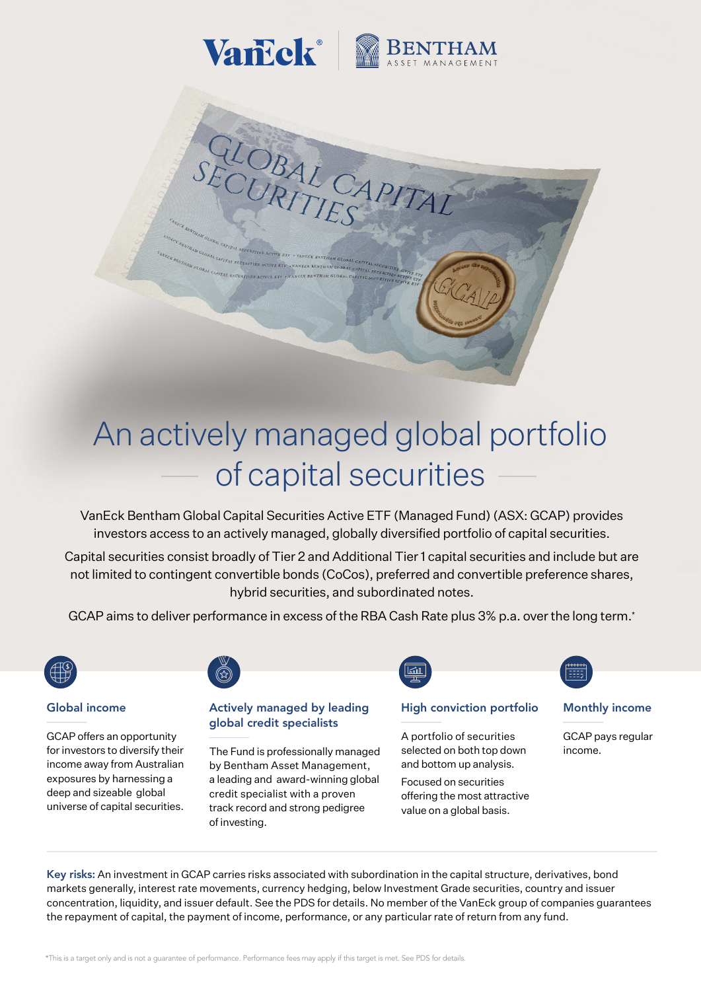

CLOBAL CAP

# An actively managed global portfolio of capital securities

VanEck Bentham Global Capital Securities Active ETF (Managed Fund) (ASX: GCAP) provides investors access to an actively managed, globally diversified portfolio of capital securities.

Capital securities consist broadly of Tier 2 and Additional Tier 1 capital securities and include but are not limited to contingent convertible bonds (CoCos), preferred and convertible preference shares, hybrid securities, and subordinated notes.

GCAP aims to deliver performance in excess of the RBA Cash Rate plus 3% p.a. over the long term.\*



#### Global income

GCAP offers an opportunity for investors to diversify their income away from Australian exposures by harnessing a deep and sizeable global universe of capital securities.



#### Actively managed by leading global credit specialists

The Fund is professionally managed by Bentham Asset Management, a leading and award-winning global credit specialist with a proven track record and strong pedigree of investing.



#### High conviction portfolio

A portfolio of securities selected on both top down and bottom up analysis. Focused on securities offering the most attractive value on a global basis.

### Monthly income

GCAP pays regular income.

Key risks: An investment in GCAP carries risks associated with subordination in the capital structure, derivatives, bond markets generally, interest rate movements, currency hedging, below Investment Grade securities, country and issuer concentration, liquidity, and issuer default. See the PDS for details. No member of the VanEck group of companies guarantees the repayment of capital, the payment of income, performance, or any particular rate of return from any fund.